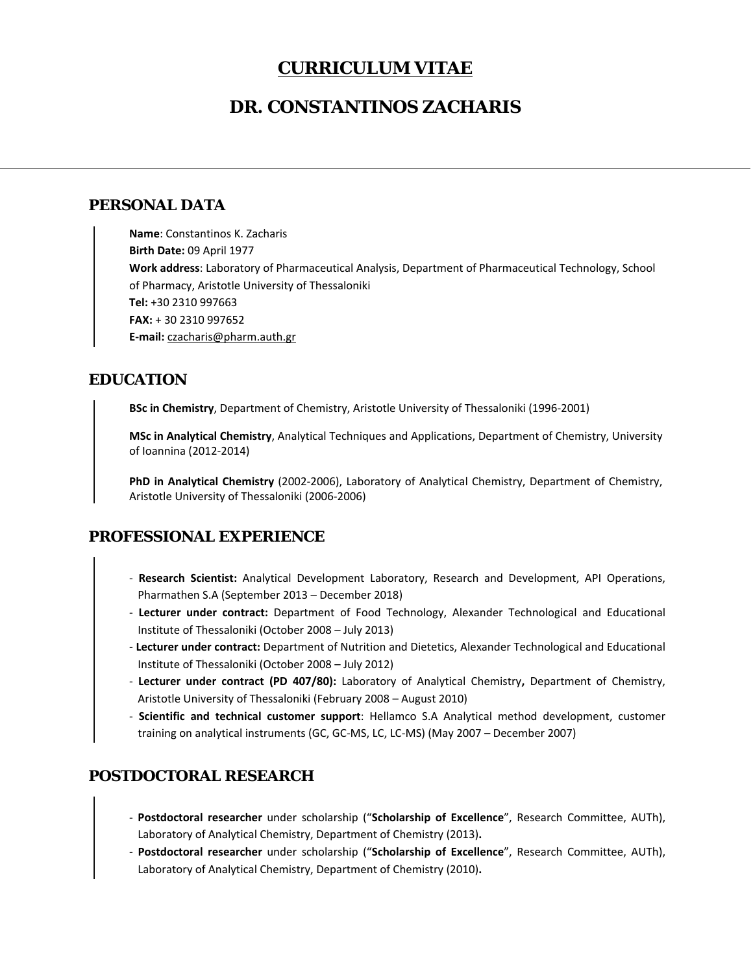# **CURRICULUM VITAE**

# **DR. CONSTANTINOS ZACHARIS**

#### **PERSONAL DATA**

**Name**: Constantinos K. Zacharis **Birth Date:** 09 April 1977 **Work address**: Laboratory of Pharmaceutical Analysis, Department of Pharmaceutical Technology, School of Pharmacy, Aristotle University of Thessaloniki **Tel:** +30 2310 997663 **FAX:** + 30 2310 997652 **E‐mail:** czacharis@pharm.auth.gr

### **EDUCATION**

**BSc in Chemistry**, Department of Chemistry, Aristotle University of Thessaloniki (1996‐2001)

**MSc in Analytical Chemistry**, Analytical Techniques and Applications, Department of Chemistry, University of Ioannina (2012‐2014)

**PhD in Analytical Chemistry** (2002‐2006), Laboratory of Analytical Chemistry, Department of Chemistry, Aristotle University of Thessaloniki (2006‐2006)

## **PROFESSIONAL EXPERIENCE**

- ‐ **Research Scientist:**  Analytical Development Laboratory, Research and Development, API Operations, Pharmathen S.A (September 2013 – December 2018)
- ‐ **Lecturer under contract:**  Department of Food Technology, Alexander Technological and Educational Institute of Thessaloniki (October 2008 – July 2013)
- ‐ **Lecturer under contract:** Department of Nutrition and Dietetics, Alexander Technological and Educational Institute of Thessaloniki (October 2008 – July 2012)
- ‐ **Lecturer under contract (PD 407/80):**  Laboratory of Analytical Chemistry**,**  Department of Chemistry, Aristotle University of Thessaloniki (February 2008 – August 2010)
- ‐ **Scientific and technical customer support**: Hellamco S.A Analytical method development, customer training on analytical instruments (GC, GC‐MS, LC, LC‐MS) (May 2007 – December 2007)

## **POSTDOCTORAL RESEARCH**

- ‐ **Postdoctoral researcher**  under scholarship ("**Scholarship of Excellence**", Research Committee, AUTh), Laboratory of Analytical Chemistry, Department of Chemistry (2013)**.**
- ‐ **Postdoctoral researcher**  under scholarship ("**Scholarship of Excellence**", Research Committee, AUTh), Laboratory of Analytical Chemistry, Department of Chemistry (2010)**.**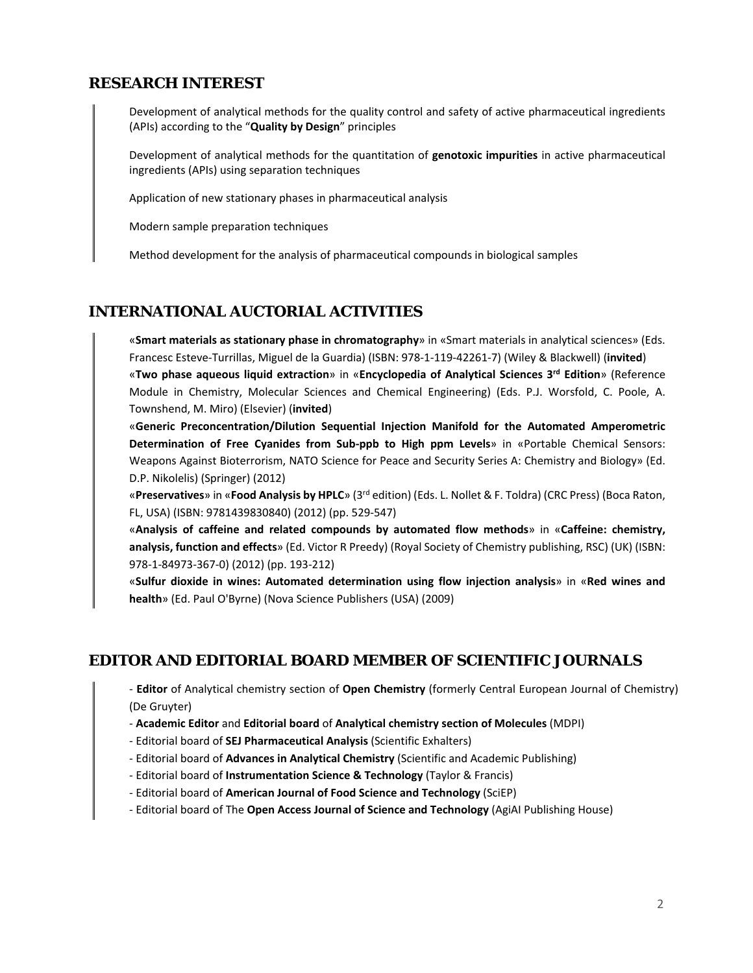### **RESEARCH INTEREST**

Development of analytical methods for the quality control and safety of active pharmaceutical ingredients (APIs) according to the "**Quality by Design**" principles

Development of analytical methods for the quantitation of **genotoxic impurities** in active pharmaceutical ingredients (APIs) using separation techniques

Application of new stationary phases in pharmaceutical analysis

Modern sample preparation techniques

Method development for the analysis of pharmaceutical compounds in biological samples

#### **INTERNATIONAL AUCTORIAL ACTIVITIES**

«**Smart materials as stationary phase in chromatography**» in «Smart materials in analytical sciences» (Eds. Francesc Esteve‐Turrillas, Miguel de la Guardia) (ISBN: 978‐1‐119‐42261‐7) (Wiley & Blackwell) (**invited**)

«**Two phase aqueous liquid extraction**» in «**Encyclopedia of Analytical Sciences 3rd Edition**» (Reference Module in Chemistry, Molecular Sciences and Chemical Engineering) (Eds. P.J. Worsfold, C. Poole, A. Townshend, M. Miro) (Elsevier) (**invited**)

«**Generic Preconcentration/Dilution Sequential Injection Manifold for the Automated Amperometric Determination of Free Cyanides from Sub‐ppb to High ppm Levels**» in «Portable Chemical Sensors: Weapons Against Bioterrorism, NATO Science for Peace and Security Series A: Chemistry and Biology» (Ed. D.P. Nikolelis) (Springer) (2012)

«**Preservatives**» in «**Food Analysis by HPLC**» (3rd edition) (Eds. L. Nollet & F. Toldra) (CRC Press) (Boca Raton, FL, USA) (ISBN: 9781439830840) (2012) (pp. 529‐547)

«**Analysis of caffeine and related compounds by automated flow methods**» in «**Caffeine: chemistry, analysis, function and effects**» (Ed. Victor R Preedy) (Royal Society of Chemistry publishing, RSC) (UK) (ISBN: 978‐1‐84973‐367‐0) (2012) (pp. 193‐212)

«**Sulfur dioxide in wines: Automated determination using flow injection analysis**» in «**Red wines and health**» (Ed. Paul O'Byrne) (Nova Science Publishers (USA) (2009)

### **EDITOR AND EDITORIAL BOARD MEMBER OF SCIENTIFIC JOURNALS**

‐ **Editor** of Analytical chemistry section of **Open Chemistry** (formerly Central European Journal of Chemistry) (De Gruyter)

- ‐ **Academic Editor** and **Editorial board** of **Analytical chemistry section of Molecules** (MDPI)
- ‐ Editorial board of **SEJ Pharmaceutical Analysis** (Scientific Exhalters)
- ‐ Editorial board of **Advances in Analytical Chemistry** (Scientific and Academic Publishing)
- ‐ Editorial board of **Instrumentation Science & Technology** (Taylor & Francis)
- ‐ Editorial board of **American Journal of Food Science and Technology** (SciEP)
- ‐ Editorial board of The **Open Access Journal of Science and Technology** (AgiAI Publishing House)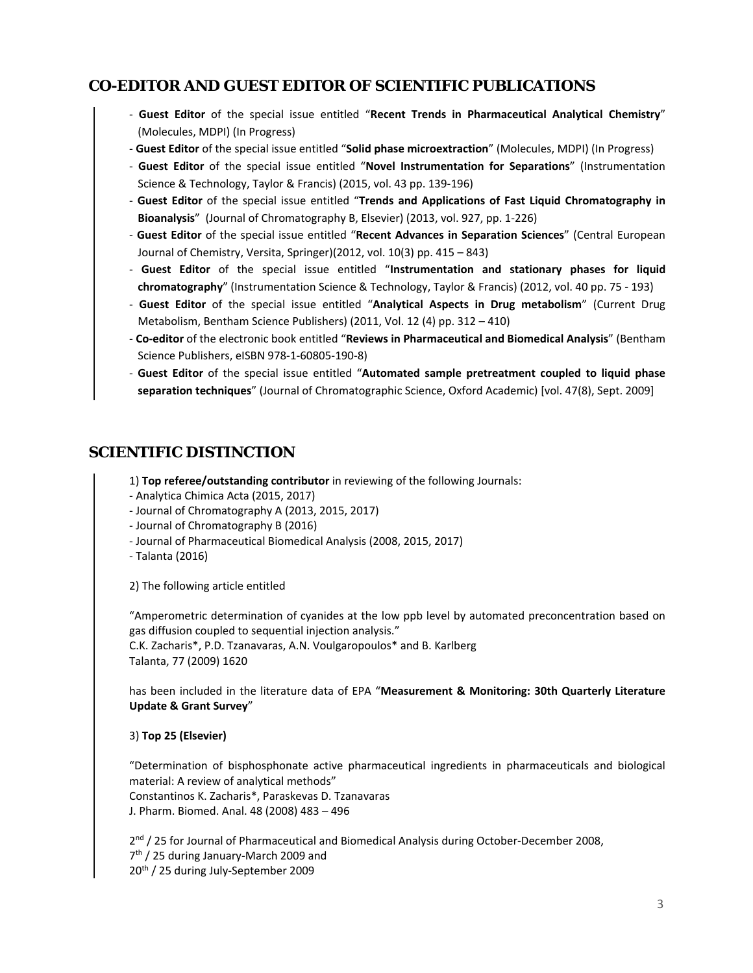### **CO-EDITOR AND GUEST EDITOR OF SCIENTIFIC PUBLICATIONS**

- ‐ **Guest Editor** of the special issue entitled "**Recent Trends in Pharmaceutical Analytical Chemistry**" (Molecules, MDPI) (In Progress)
- ‐ **Guest Editor** of the special issue entitled "**Solid phase microextraction**" (Molecules, MDPI) (In Progress)
- ‐ **Guest Editor** of the special issue entitled "**Novel Instrumentation for Separations**" (Instrumentation Science & Technology, Taylor & Francis) (2015, vol. 43 pp. 139‐196)
- ‐ **Guest Editor** of the special issue entitled "**Trends and Applications of Fast Liquid Chromatography in Bioanalysis**" (Journal of Chromatography B, Elsevier) (2013, vol. 927, pp. 1‐226)
- ‐ **Guest Editor** of the special issue entitled "**Recent Advances in Separation Sciences**" (Central European Journal of Chemistry, Versita, Springer)(2012, vol. 10(3) pp. 415 – 843)
- ‐ **Guest Editor** of the special issue entitled "**Instrumentation and stationary phases for liquid chromatography**" (Instrumentation Science & Technology, Taylor & Francis) (2012, vol. 40 pp. 75 ‐ 193)
- ‐ **Guest Editor** of the special issue entitled "**Analytical Aspects in Drug metabolism**" (Current Drug Metabolism, Bentham Science Publishers) (2011, Vol. 12 (4) pp. 312 – 410)
- ‐ **Co‐editor** of the electronic book entitled "**Reviews in Pharmaceutical and Biomedical Analysis**" (Bentham Science Publishers, eISBN 978‐1‐60805‐190‐8)
- ‐ **Guest Editor** of the special issue entitled "**Automated sample pretreatment coupled to liquid phase separation techniques**" (Journal of Chromatographic Science, Oxford Academic) [vol. 47(8), Sept. 2009]

### **SCIENTIFIC DISTINCTION**

- 1) **Top referee/outstanding contributor** in reviewing of the following Journals:
- ‐ Analytica Chimica Acta (2015, 2017)
- ‐ Journal of Chromatography A (2013, 2015, 2017)
- ‐ Journal of Chromatography B (2016)
- ‐ Journal of Pharmaceutical Biomedical Analysis (2008, 2015, 2017)
- ‐ Talanta (2016)

2) The following article entitled

"Amperometric determination of cyanides at the low ppb level by automated preconcentration based on gas diffusion coupled to sequential injection analysis."

C.K. Zacharis\*, P.D. Tzanavaras, A.N. Voulgaropoulos\* and B. Karlberg Talanta, 77 (2009) 1620

has been included in the literature data of EPA "**Measurement & Monitoring: 30th Quarterly Literature Update & Grant Survey**"

#### 3) **Top 25 (Elsevier)**

"Determination of bisphosphonate active pharmaceutical ingredients in pharmaceuticals and biological material: A review of analytical methods" Constantinos K. Zacharis\*, Paraskevas D. Tzanavaras J. Pharm. Biomed. Anal. 48 (2008) 483 – 496

2<sup>nd</sup> / 25 for Journal of Pharmaceutical and Biomedical Analysis during October-December 2008, 7th / 25 during January‐March 2009 and 20<sup>th</sup> / 25 during July-September 2009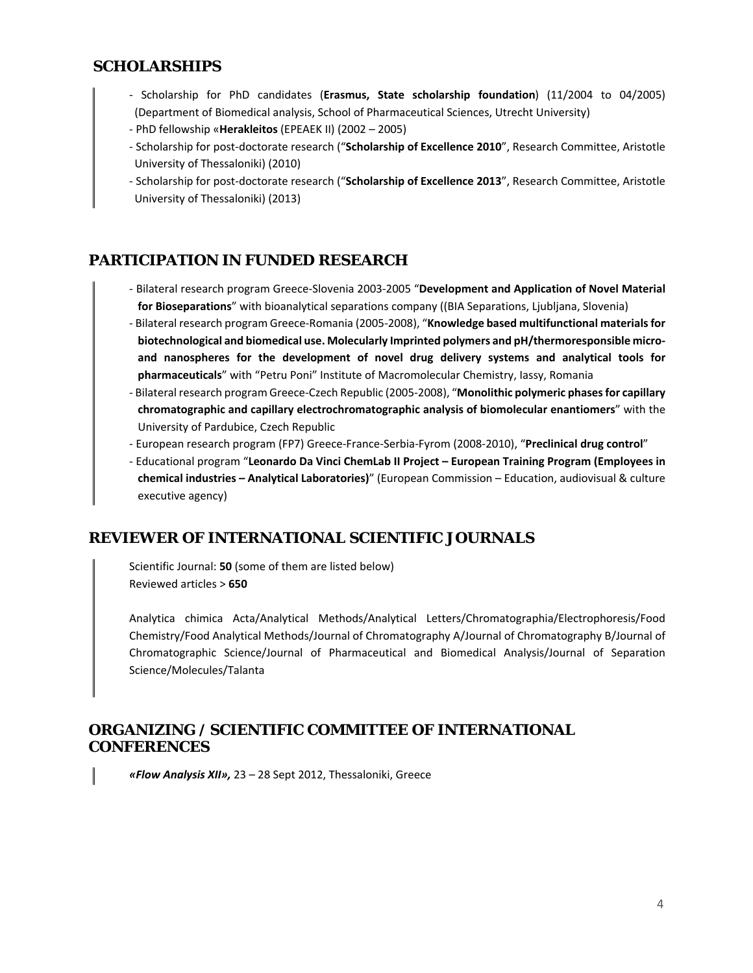### **SCHOLARSHIPS**

- ‐ Scholarship for PhD candidates (**Erasmus, State scholarship foundation**) (11/2004 to 04/2005) (Department of Biomedical analysis, School of Pharmaceutical Sciences, Utrecht University)
- ‐ PhD fellowship «**Herakleitos** (EPEAEK II) (2002 2005)
- ‐ Scholarship for post‐doctorate research ("**Scholarship of Excellence 2010**", Research Committee, Aristotle University of Thessaloniki) (2010)
- ‐ Scholarship for post‐doctorate research ("**Scholarship of Excellence 2013**", Research Committee, Aristotle University of Thessaloniki) (2013)

## **PARTICIPATION IN FUNDED RESEARCH**

- ‐ Bilateral research program Greece‐Slovenia 2003‐2005 "**Development and Application of Novel Material for Bioseparations**" with bioanalytical separations company ((BIA Separations, Ljubljana, Slovenia)
- ‐ Bilateral research program Greece‐Romania (2005‐2008), "**Knowledge based multifunctional materials for biotechnological and biomedical use. Molecularly Imprinted polymers and pH/thermoresponsible micro‐ and nanospheres for the development of novel drug delivery systems and analytical tools for pharmaceuticals**" with "Petru Poni" Institute of Macromolecular Chemistry, Iassy, Romania
- ‐ Bilateral research program Greece‐Czech Republic (2005‐2008), "**Monolithic polymeric phases for capillary chromatographic and capillary electrochromatographic analysis of biomolecular enantiomers**" with the University of Pardubice, Czech Republic
- ‐ European research program (FP7) Greece‐France‐Serbia‐Fyrom (2008‐2010), "**Preclinical drug control**"
- ‐ Educational program "**Leonardo Da Vinci ChemLab II Project European Training Program (Employees in chemical industries – Analytical Laboratories)**" (European Commission – Education, audiovisual & culture executive agency)

### **REVIEWER OF INTERNATIONAL SCIENTIFIC JOURNALS**

Scientific Journal: **50** (some of them are listed below) Reviewed articles > **650**

Analytica chimica Acta/Analytical Methods/Analytical Letters/Chromatographia/Electrophoresis/Food Chemistry/Food Analytical Methods/Journal of Chromatography A/Journal of Chromatography B/Journal of Chromatographic Science/Journal of Pharmaceutical and Biomedical Analysis/Journal of Separation Science/Molecules/Talanta

### **ORGANIZING / SCIENTIFIC COMMITTEE OF INTERNATIONAL CONFERENCES**

*«Flow Analysis XII»,* 23 – 28 Sept 2012, Thessaloniki, Greece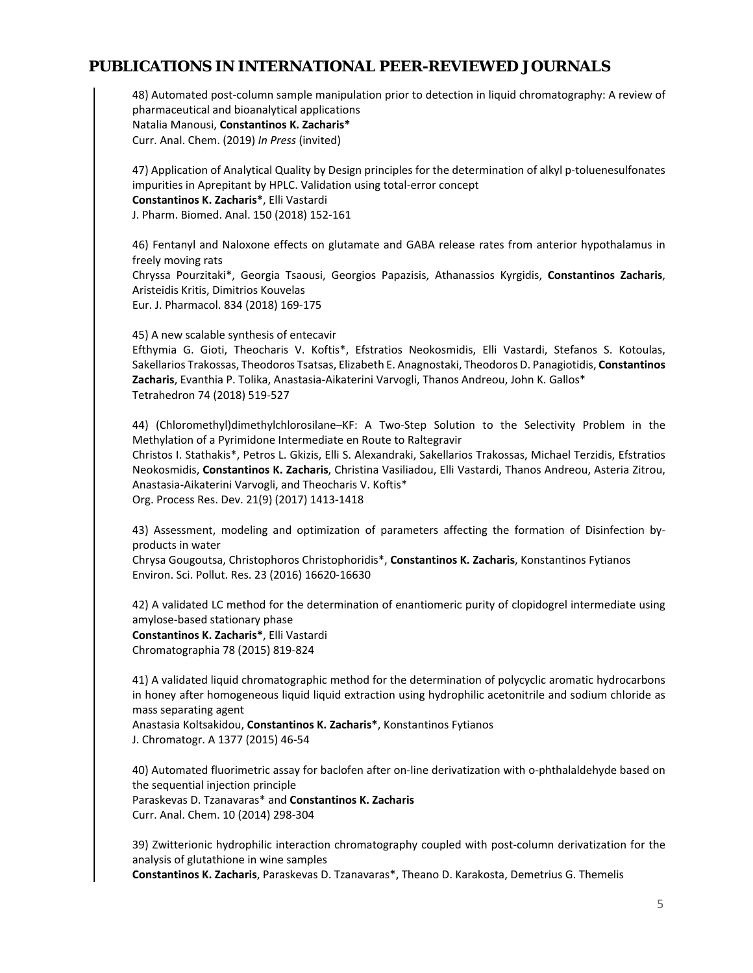### **PUBLICATIONS IN INTERNATIONAL PEER-REVIEWED JOURNALS**

48) Automated post‐column sample manipulation prior to detection in liquid chromatography: A review of pharmaceutical and bioanalytical applications Natalia Manousi, **Constantinos K. Zacharis\***  Curr. Anal. Chem. (2019) *In Press* (invited)

47) Application of Analytical Quality by Design principles for the determination of alkyl p‐toluenesulfonates impurities in Aprepitant by HPLC. Validation using total‐error concept **Constantinos K. Zacharis\***, Elli Vastardi J. Pharm. Biomed. Anal. 150 (2018) 152‐161

46) Fentanyl and Naloxone effects on glutamate and GABA release rates from anterior hypothalamus in freely moving rats

Chryssa Pourzitaki\*, Georgia Tsaousi, Georgios Papazisis, Athanassios Kyrgidis, **Constantinos Zacharis**, Aristeidis Kritis, Dimitrios Kouvelas

Eur. J. Pharmacol. 834 (2018) 169‐175

45) A new scalable synthesis of entecavir

Efthymia G. Gioti, Theocharis V. Koftis\*, Efstratios Neokosmidis, Elli Vastardi, Stefanos S. Kotoulas, Sakellarios Trakossas, Theodoros Tsatsas, Elizabeth E. Anagnostaki, Theodoros D. Panagiotidis, **Constantinos Zacharis**, Evanthia P. Tolika, Anastasia‐Aikaterini Varvogli, Thanos Andreou, John K. Gallos\* Tetrahedron 74 (2018) 519‐527

44) (Chloromethyl)dimethylchlorosilane–KF: A Two‐Step Solution to the Selectivity Problem in the Methylation of a Pyrimidone Intermediate en Route to Raltegravir Christos I. Stathakis\*, Petros L. Gkizis, Elli S. Alexandraki, Sakellarios Trakossas, Michael Terzidis, Efstratios Neokosmidis, **Constantinos K. Zacharis**, Christina Vasiliadou, Elli Vastardi, Thanos Andreou, Asteria Zitrou, Anastasia‐Aikaterini Varvogli, and Theocharis V. Koftis\* Org. Process Res. Dev. 21(9) (2017) 1413‐1418

43) Assessment, modeling and optimization of parameters affecting the formation of Disinfection byproducts in water

Chrysa Gougoutsa, Christophoros Christophoridis\*, **Constantinos K. Zacharis**, Konstantinos Fytianos Environ. Sci. Pollut. Res. 23 (2016) 16620‐16630

42) A validated LC method for the determination of enantiomeric purity of clopidogrel intermediate using amylose‐based stationary phase **Constantinos K. Zacharis\***, Elli Vastardi

Chromatographia 78 (2015) 819‐824

41) A validated liquid chromatographic method for the determination of polycyclic aromatic hydrocarbons in honey after homogeneous liquid liquid extraction using hydrophilic acetonitrile and sodium chloride as mass separating agent

Anastasia Koltsakidou, **Constantinos K. Zacharis\***, Konstantinos Fytianos J. Chromatogr. A 1377 (2015) 46‐54

40) Automated fluorimetric assay for baclofen after on-line derivatization with o-phthalaldehyde based on the sequential injection principle Paraskevas D. Tzanavaras\* and **Constantinos K. Zacharis**

Curr. Anal. Chem. 10 (2014) 298‐304

39) Zwitterionic hydrophilic interaction chromatography coupled with post-column derivatization for the analysis of glutathione in wine samples

**Constantinos K. Zacharis**, Paraskevas D. Tzanavaras\*, Theano D. Karakosta, Demetrius G. Themelis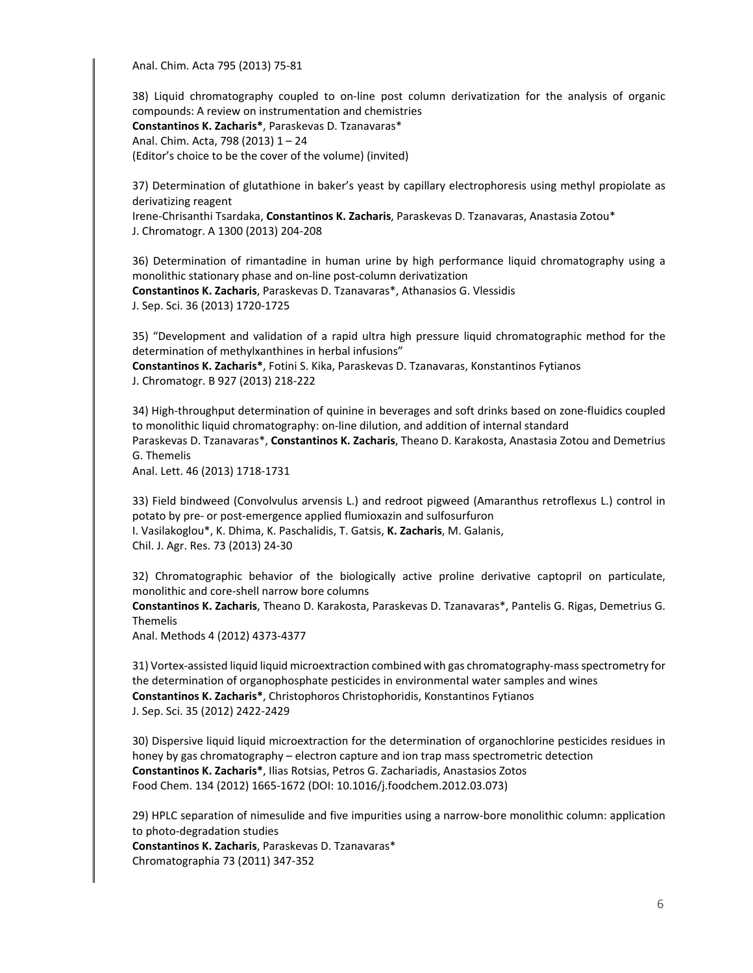Anal. Chim. Acta 795 (2013) 75‐81

38) Liquid chromatography coupled to on‐line post column derivatization for the analysis of organic compounds: A review on instrumentation and chemistries **Constantinos K. Zacharis\***, Paraskevas D. Tzanavaras\* Anal. Chim. Acta, 798 (2013) 1 – 24 (Editor's choice to be the cover of the volume) (invited)

37) Determination of glutathione in baker's yeast by capillary electrophoresis using methyl propiolate as derivatizing reagent

Irene‐Chrisanthi Tsardaka, **Constantinos K. Zacharis**, Paraskevas D. Tzanavaras, Anastasia Zotou\* J. Chromatogr. A 1300 (2013) 204‐208

36) Determination of rimantadine in human urine by high performance liquid chromatography using a monolithic stationary phase and on‐line post‐column derivatization

**Constantinos K. Zacharis**, Paraskevas D. Tzanavaras\*, Athanasios G. Vlessidis J. Sep. Sci. 36 (2013) 1720‐1725

35) "Development and validation of a rapid ultra high pressure liquid chromatographic method for the determination of methylxanthines in herbal infusions"

**Constantinos K. Zacharis\***, Fotini S. Kika, Paraskevas D. Tzanavaras, Konstantinos Fytianos J. Chromatogr. B 927 (2013) 218‐222

34) High-throughput determination of quinine in beverages and soft drinks based on zone-fluidics coupled to monolithic liquid chromatography: on-line dilution, and addition of internal standard Paraskevas D. Tzanavaras\*, **Constantinos K. Zacharis**, Theano D. Karakosta, Anastasia Zotou and Demetrius G. Themelis

Anal. Lett. 46 (2013) 1718‐1731

33) Field bindweed (Convolvulus arvensis L.) and redroot pigweed (Amaranthus retroflexus L.) control in potato by pre‐ or post‐emergence applied flumioxazin and sulfosurfuron I. Vasilakoglou\*, K. Dhima, K. Paschalidis, T. Gatsis, **K. Zacharis**, M. Galanis,

Chil. J. Agr. Res. 73 (2013) 24‐30

32) Chromatographic behavior of the biologically active proline derivative captopril on particulate, monolithic and core‐shell narrow bore columns

**Constantinos K. Zacharis**, Theano D. Karakosta, Paraskevas D. Tzanavaras\*, Pantelis G. Rigas, Demetrius G. Themelis

Anal. Methods 4 (2012) 4373‐4377

31) Vortex-assisted liquid liquid microextraction combined with gas chromatography-mass spectrometry for the determination of organophosphate pesticides in environmental water samples and wines **Constantinos K. Zacharis\***, Christophoros Christophoridis, Konstantinos Fytianos J. Sep. Sci. 35 (2012) 2422‐2429

30) Dispersive liquid liquid microextraction for the determination of organochlorine pesticides residues in honey by gas chromatography – electron capture and ion trap mass spectrometric detection **Constantinos K. Zacharis\***, Ilias Rotsias, Petros G. Zachariadis, Anastasios Zotos Food Chem. 134 (2012) 1665‐1672 (DOI: 10.1016/j.foodchem.2012.03.073)

29) HPLC separation of nimesulide and five impurities using a narrow‐bore monolithic column: application to photo‐degradation studies

**Constantinos K. Zacharis**, Paraskevas D. Tzanavaras\* Chromatographia 73 (2011) 347‐352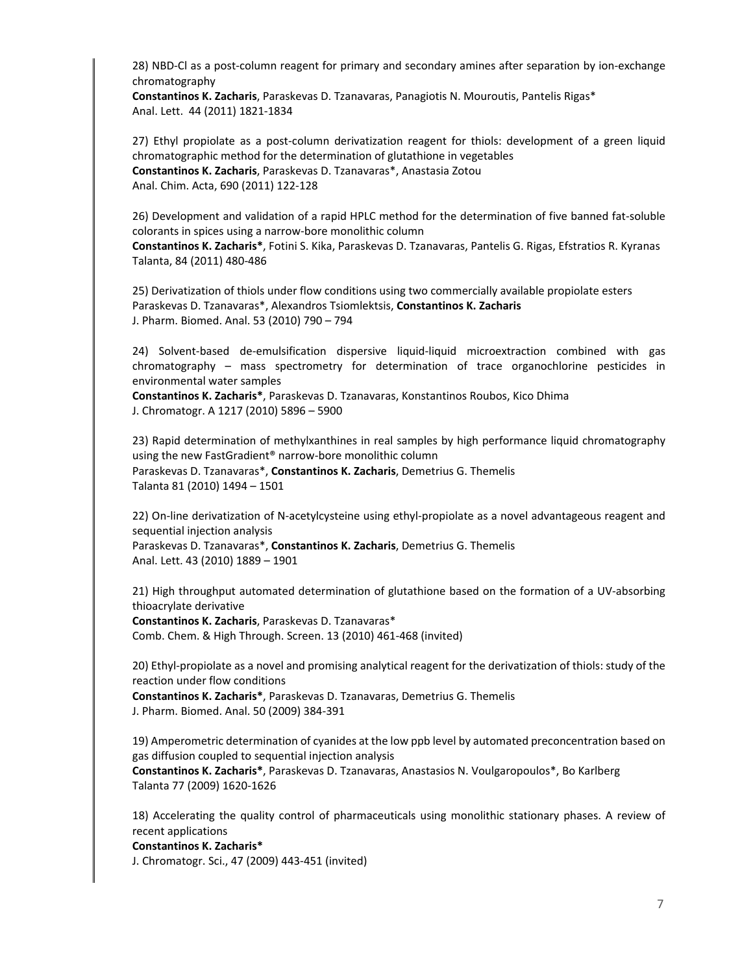28) NBD-Cl as a post-column reagent for primary and secondary amines after separation by ion-exchange chromatography

**Constantinos K. Zacharis**, Paraskevas D. Tzanavaras, Panagiotis N. Mouroutis, Pantelis Rigas\* Anal. Lett. 44 (2011) 1821‐1834

27) Ethyl propiolate as a post-column derivatization reagent for thiols: development of a green liquid chromatographic method for the determination of glutathione in vegetables **Constantinos K. Zacharis**, Paraskevas D. Tzanavaras\*, Anastasia Zotou Anal. Chim. Acta, 690 (2011) 122‐128

26) Development and validation of a rapid HPLC method for the determination of five banned fat‐soluble colorants in spices using a narrow‐bore monolithic column

**Constantinos K. Zacharis\***, Fotini S. Kika, Paraskevas D. Tzanavaras, Pantelis G. Rigas, Efstratios R. Kyranas Talanta, 84 (2011) 480‐486

25) Derivatization of thiols under flow conditions using two commercially available propiolate esters Paraskevas D. Tzanavaras\*, Alexandros Tsiomlektsis, **Constantinos K. Zacharis** J. Pharm. Biomed. Anal. 53 (2010) 790 – 794

24) Solvent-based de-emulsification dispersive liquid-liquid microextraction combined with gas chromatography – mass spectrometry for determination of trace organochlorine pesticides in environmental water samples

**Constantinos K. Zacharis\***, Paraskevas D. Tzanavaras, Konstantinos Roubos, Kico Dhima J. Chromatogr. A 1217 (2010) 5896 – 5900

23) Rapid determination of methylxanthines in real samples by high performance liquid chromatography using the new FastGradient® narrow‐bore monolithic column Paraskevas D. Tzanavaras\*, **Constantinos K. Zacharis**, Demetrius G. Themelis Talanta 81 (2010) 1494 – 1501

22) On-line derivatization of N-acetylcysteine using ethyl-propiolate as a novel advantageous reagent and sequential injection analysis Paraskevas D. Tzanavaras\*, **Constantinos K. Zacharis**, Demetrius G. Themelis Anal. Lett. 43 (2010) 1889 – 1901

21) High throughput automated determination of glutathione based on the formation of a UV‐absorbing thioacrylate derivative

**Constantinos K. Zacharis**, Paraskevas D. Tzanavaras\* Comb. Chem. & High Through. Screen. 13 (2010) 461‐468 (invited)

20) Ethyl‐propiolate as a novel and promising analytical reagent for the derivatization of thiols: study of the reaction under flow conditions

**Constantinos K. Zacharis\***, Paraskevas D. Tzanavaras, Demetrius G. Themelis J. Pharm. Biomed. Anal. 50 (2009) 384‐391

19) Amperometric determination of cyanides at the low ppb level by automated preconcentration based on gas diffusion coupled to sequential injection analysis

**Constantinos K. Zacharis\***, Paraskevas D. Tzanavaras, Anastasios N. Voulgaropoulos\*, Bo Karlberg Talanta 77 (2009) 1620‐1626

18) Accelerating the quality control of pharmaceuticals using monolithic stationary phases. A review of recent applications

**Constantinos K. Zacharis\*** 

J. Chromatogr. Sci., 47 (2009) 443‐451 (invited)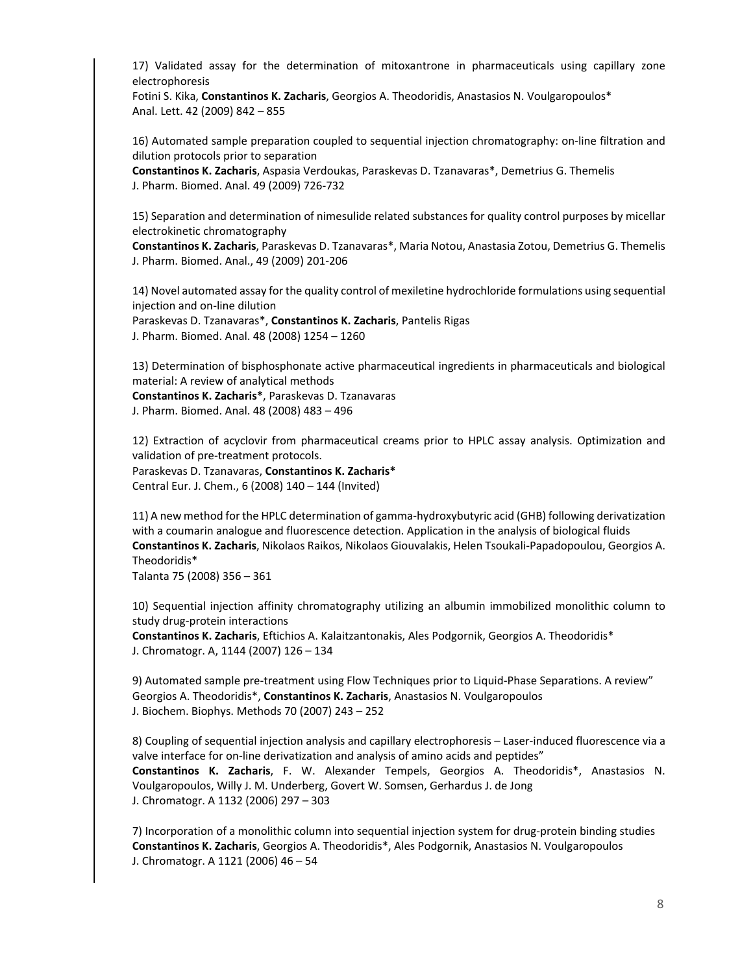17) Validated assay for the determination of mitoxantrone in pharmaceuticals using capillary zone electrophoresis

Fotini S. Kika, **Constantinos K. Zacharis**, Georgios A. Theodoridis, Anastasios N. Voulgaropoulos\* Anal. Lett. 42 (2009) 842 – 855

16) Automated sample preparation coupled to sequential injection chromatography: on‐line filtration and dilution protocols prior to separation

**Constantinos K. Zacharis**, Aspasia Verdoukas, Paraskevas D. Tzanavaras\*, Demetrius G. Themelis J. Pharm. Biomed. Anal. 49 (2009) 726‐732

15) Separation and determination of nimesulide related substances for quality control purposes by micellar electrokinetic chromatography

**Constantinos K. Zacharis**, Paraskevas D. Tzanavaras\*, Maria Notou, Anastasia Zotou, Demetrius G. Themelis J. Pharm. Biomed. Anal., 49 (2009) 201‐206

14) Novel automated assay for the quality control of mexiletine hydrochloride formulations using sequential injection and on‐line dilution

Paraskevas D. Tzanavaras\*, **Constantinos K. Zacharis**, Pantelis Rigas J. Pharm. Biomed. Anal. 48 (2008) 1254 – 1260

13) Determination of bisphosphonate active pharmaceutical ingredients in pharmaceuticals and biological material: A review of analytical methods **Constantinos K. Zacharis\***, Paraskevas D. Tzanavaras J. Pharm. Biomed. Anal. 48 (2008) 483 – 496

12) Extraction of acyclovir from pharmaceutical creams prior to HPLC assay analysis. Optimization and validation of pre‐treatment protocols. Paraskevas D. Tzanavaras, **Constantinos K. Zacharis\*** Central Eur. J. Chem., 6 (2008) 140 – 144 (Invited)

11) A new method for the HPLC determination of gamma‐hydroxybutyric acid (GHB) following derivatization with a coumarin analogue and fluorescence detection. Application in the analysis of biological fluids **Constantinos K. Zacharis**, Nikolaos Raikos, Nikolaos Giouvalakis, Helen Tsoukali‐Papadopoulou, Georgios A. Theodoridis\*

Talanta 75 (2008) 356 – 361

10) Sequential injection affinity chromatography utilizing an albumin immobilized monolithic column to study drug‐protein interactions

**Constantinos K. Zacharis**, Eftichios A. Kalaitzantonakis, Ales Podgornik, Georgios A. Theodoridis\* J. Chromatogr. A, 1144 (2007) 126 – 134

9) Automated sample pre-treatment using Flow Techniques prior to Liquid-Phase Separations. A review" Georgios A. Theodoridis\*, **Constantinos K. Zacharis**, Anastasios N. Voulgaropoulos J. Biochem. Biophys. Methods 70 (2007) 243 – 252

8) Coupling of sequential injection analysis and capillary electrophoresis – Laser-induced fluorescence via a valve interface for on-line derivatization and analysis of amino acids and peptides" **Constantinos K. Zacharis**, F. W. Alexander Tempels, Georgios A. Theodoridis\*, Anastasios N. Voulgaropoulos, Willy J. M. Underberg, Govert W. Somsen, Gerhardus J. de Jong J. Chromatogr. A 1132 (2006) 297 – 303

7) Incorporation of a monolithic column into sequential injection system for drug‐protein binding studies **Constantinos K. Zacharis**, Georgios A. Theodoridis\*, Ales Podgornik, Anastasios N. Voulgaropoulos J. Chromatogr. A 1121 (2006) 46 – 54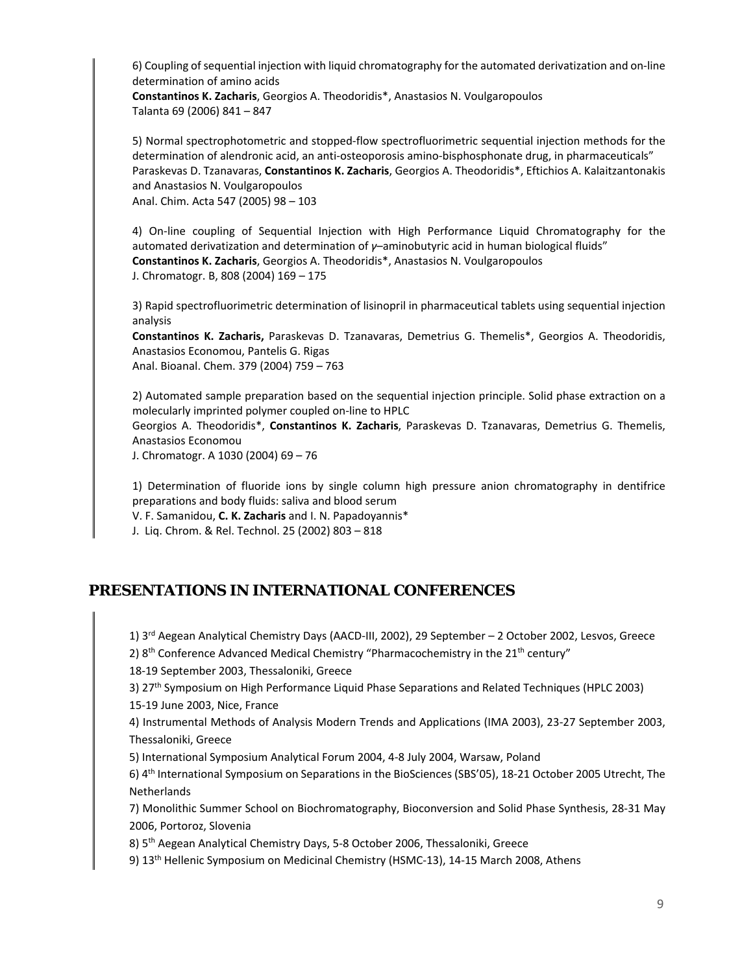6) Coupling of sequential injection with liquid chromatography for the automated derivatization and on‐line determination of amino acids

**Constantinos K. Zacharis**, Georgios A. Theodoridis\*, Anastasios N. Voulgaropoulos Talanta 69 (2006) 841 – 847

5) Normal spectrophotometric and stopped‐flow spectrofluorimetric sequential injection methods for the determination of alendronic acid, an anti‐osteoporosis amino‐bisphosphonate drug, in pharmaceuticals" Paraskevas D. Tzanavaras, **Constantinos K. Zacharis**, Georgios A. Theodoridis\*, Eftichios A. Kalaitzantonakis and Anastasios N. Voulgaropoulos

Anal. Chim. Acta 547 (2005) 98 – 103

4) On-line coupling of Sequential Injection with High Performance Liquid Chromatography for the automated derivatization and determination of *γ*–aminobutyric acid in human biological fluids" **Constantinos K. Zacharis**, Georgios A. Theodoridis\*, Anastasios N. Voulgaropoulos J. Chromatogr. B, 808 (2004) 169 – 175

3) Rapid spectrofluorimetric determination of lisinopril in pharmaceutical tablets using sequential injection analysis

**Constantinos K. Zacharis,** Paraskevas D. Tzanavaras, Demetrius G. Themelis\*, Georgios A. Theodoridis, Anastasios Economou, Pantelis G. Rigas Anal. Bioanal. Chem. 379 (2004) 759 – 763

2) Automated sample preparation based on the sequential injection principle. Solid phase extraction on a molecularly imprinted polymer coupled on‐line to HPLC

Georgios A. Theodoridis\*, **Constantinos K. Zacharis**, Paraskevas D. Tzanavaras, Demetrius G. Themelis, Anastasios Economou

J. Chromatogr. A 1030 (2004) 69 – 76

1) Determination of fluoride ions by single column high pressure anion chromatography in dentifrice preparations and body fluids: saliva and blood serum

V. F. Samanidou, **C. K. Zacharis** and I. N. Papadoyannis\*

J. Liq. Chrom. & Rel. Technol. 25 (2002) 803 – 818

### **PRESENTATIONS IN INTERNATIONAL CONFERENCES**

1) 3<sup>rd</sup> Aegean Analytical Chemistry Days (AACD-III, 2002), 29 September – 2 October 2002, Lesvos, Greece 2) 8<sup>th</sup> Conference Advanced Medical Chemistry "Pharmacochemistry in the 21<sup>th</sup> century"

18‐19 September 2003, Thessaloniki, Greece

3) 27th Symposium on High Performance Liquid Phase Separations and Related Techniques (HPLC 2003)

15‐19 June 2003, Nice, France

4) Instrumental Methods of Analysis Modern Trends and Applications (IMA 2003), 23‐27 September 2003, Thessaloniki, Greece

5) International Symposium Analytical Forum 2004, 4‐8 July 2004, Warsaw, Poland

6) 4th International Symposium on Separations in the BioSciences (SBS'05), 18‐21 October 2005 Utrecht, The **Netherlands** 

7) Monolithic Summer School on Biochromatography, Bioconversion and Solid Phase Synthesis, 28‐31 May 2006, Portoroz, Slovenia

8) 5th Aegean Analytical Chemistry Days, 5‐8 October 2006, Thessaloniki, Greece

9) 13<sup>th</sup> Hellenic Symposium on Medicinal Chemistry (HSMC-13), 14-15 March 2008, Athens